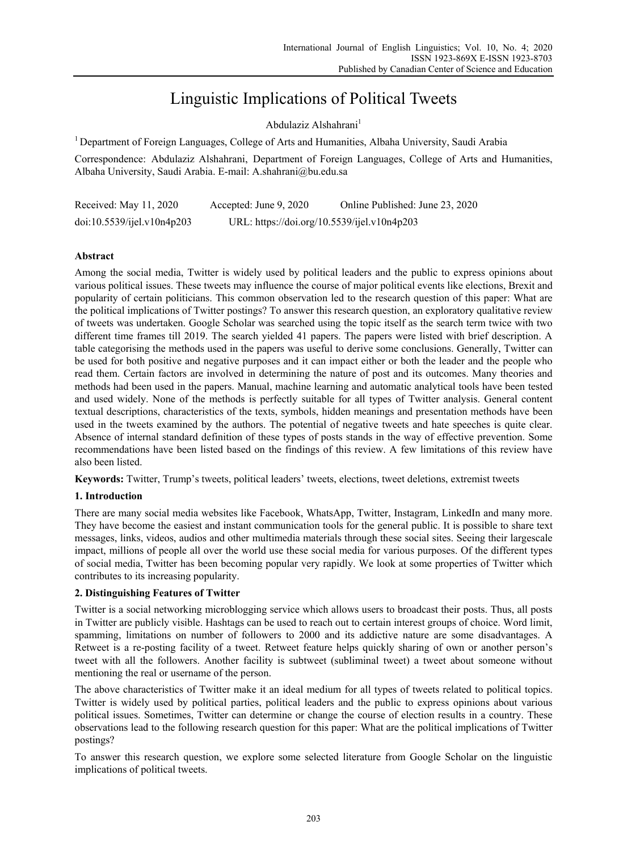# Linguistic Implications of Political Tweets

Abdulaziz Alshahrani<sup>1</sup>

1 Department of Foreign Languages, College of Arts and Humanities, Albaha University, Saudi Arabia

Correspondence: Abdulaziz Alshahrani, Department of Foreign Languages, College of Arts and Humanities, Albaha University, Saudi Arabia. E-mail: A.shahrani@bu.edu.sa

| Received: May 11, 2020     | Accepted: June 9, 2020                      | Online Published: June 23, 2020 |
|----------------------------|---------------------------------------------|---------------------------------|
| doi:10.5539/ijel.v10n4p203 | URL: https://doi.org/10.5539/ijel.v10n4p203 |                                 |

## **Abstract**

Among the social media, Twitter is widely used by political leaders and the public to express opinions about various political issues. These tweets may influence the course of major political events like elections, Brexit and popularity of certain politicians. This common observation led to the research question of this paper: What are the political implications of Twitter postings? To answer this research question, an exploratory qualitative review of tweets was undertaken. Google Scholar was searched using the topic itself as the search term twice with two different time frames till 2019. The search yielded 41 papers. The papers were listed with brief description. A table categorising the methods used in the papers was useful to derive some conclusions. Generally, Twitter can be used for both positive and negative purposes and it can impact either or both the leader and the people who read them. Certain factors are involved in determining the nature of post and its outcomes. Many theories and methods had been used in the papers. Manual, machine learning and automatic analytical tools have been tested and used widely. None of the methods is perfectly suitable for all types of Twitter analysis. General content textual descriptions, characteristics of the texts, symbols, hidden meanings and presentation methods have been used in the tweets examined by the authors. The potential of negative tweets and hate speeches is quite clear. Absence of internal standard definition of these types of posts stands in the way of effective prevention. Some recommendations have been listed based on the findings of this review. A few limitations of this review have also been listed.

**Keywords:** Twitter, Trump's tweets, political leaders' tweets, elections, tweet deletions, extremist tweets

## **1. Introduction**

There are many social media websites like Facebook, WhatsApp, Twitter, Instagram, LinkedIn and many more. They have become the easiest and instant communication tools for the general public. It is possible to share text messages, links, videos, audios and other multimedia materials through these social sites. Seeing their largescale impact, millions of people all over the world use these social media for various purposes. Of the different types of social media, Twitter has been becoming popular very rapidly. We look at some properties of Twitter which contributes to its increasing popularity.

## **2. Distinguishing Features of Twitter**

Twitter is a social networking microblogging service which allows users to broadcast their posts. Thus, all posts in Twitter are publicly visible. Hashtags can be used to reach out to certain interest groups of choice. Word limit, spamming, limitations on number of followers to 2000 and its addictive nature are some disadvantages. A Retweet is a re-posting facility of a tweet. Retweet feature helps quickly sharing of own or another person's tweet with all the followers. Another facility is subtweet (subliminal tweet) a tweet about someone without mentioning the real or username of the person.

The above characteristics of Twitter make it an ideal medium for all types of tweets related to political topics. Twitter is widely used by political parties, political leaders and the public to express opinions about various political issues. Sometimes, Twitter can determine or change the course of election results in a country. These observations lead to the following research question for this paper: What are the political implications of Twitter postings?

To answer this research question, we explore some selected literature from Google Scholar on the linguistic implications of political tweets.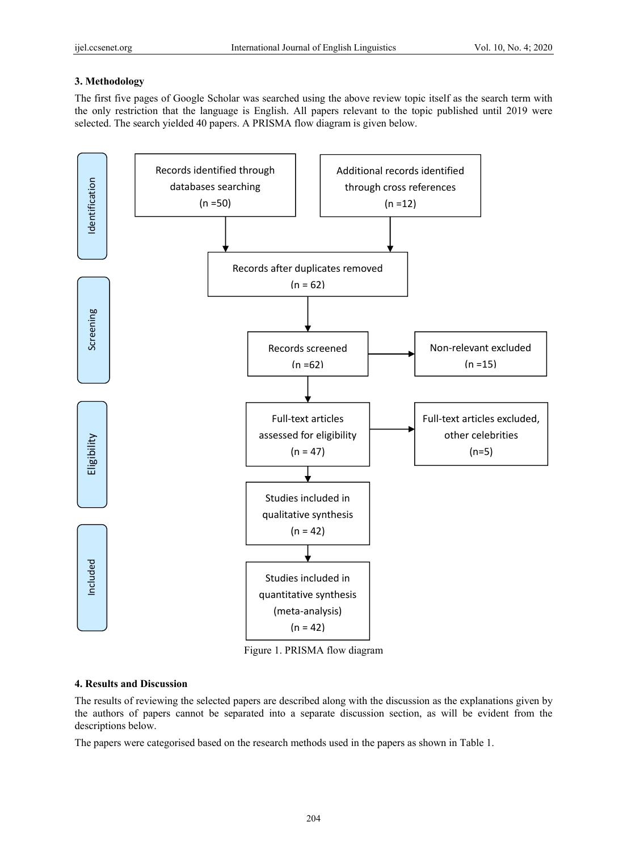## **3. Methodology**

The first five pages of Google Scholar was searched using the above review topic itself as the search term with the only restriction that the language is English. All papers relevant to the topic published until 2019 were selected. The search yielded 40 papers. A PRISMA flow diagram is given below.



Figure 1. PRISMA flow diagram

## **4. Results and Discussion**

The results of reviewing the selected papers are described along with the discussion as the explanations given by the authors of papers cannot be separated into a separate discussion section, as will be evident from the descriptions below.

The papers were categorised based on the research methods used in the papers as shown in Table 1.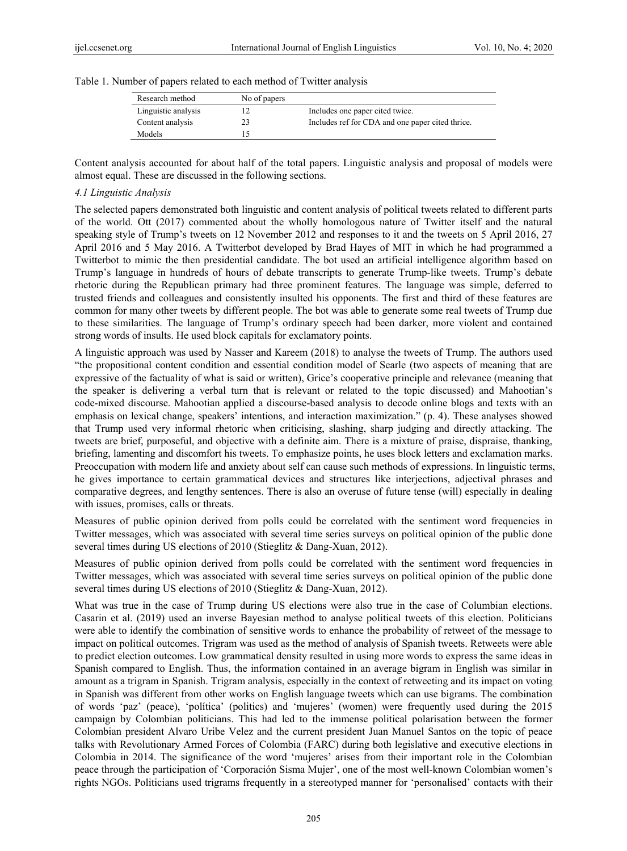|  |  |  | Table 1. Number of papers related to each method of Twitter analysis |  |
|--|--|--|----------------------------------------------------------------------|--|
|  |  |  |                                                                      |  |

| Research method     | No of papers |                                                  |
|---------------------|--------------|--------------------------------------------------|
| Linguistic analysis |              | Includes one paper cited twice.                  |
| Content analysis    | 23           | Includes ref for CDA and one paper cited thrice. |
| Models              |              |                                                  |

Content analysis accounted for about half of the total papers. Linguistic analysis and proposal of models were almost equal. These are discussed in the following sections.

## *4.1 Linguistic Analysis*

The selected papers demonstrated both linguistic and content analysis of political tweets related to different parts of the world. Ott (2017) commented about the wholly homologous nature of Twitter itself and the natural speaking style of Trump's tweets on 12 November 2012 and responses to it and the tweets on 5 April 2016, 27 April 2016 and 5 May 2016. A Twitterbot developed by Brad Hayes of MIT in which he had programmed a Twitterbot to mimic the then presidential candidate. The bot used an artificial intelligence algorithm based on Trump's language in hundreds of hours of debate transcripts to generate Trump-like tweets. Trump's debate rhetoric during the Republican primary had three prominent features. The language was simple, deferred to trusted friends and colleagues and consistently insulted his opponents. The first and third of these features are common for many other tweets by different people. The bot was able to generate some real tweets of Trump due to these similarities. The language of Trump's ordinary speech had been darker, more violent and contained strong words of insults. He used block capitals for exclamatory points.

A linguistic approach was used by Nasser and Kareem (2018) to analyse the tweets of Trump. The authors used "the propositional content condition and essential condition model of Searle (two aspects of meaning that are expressive of the factuality of what is said or written), Grice's cooperative principle and relevance (meaning that the speaker is delivering a verbal turn that is relevant or related to the topic discussed) and Mahootian's code-mixed discourse. Mahootian applied a discourse-based analysis to decode online blogs and texts with an emphasis on lexical change, speakers' intentions, and interaction maximization." (p. 4). These analyses showed that Trump used very informal rhetoric when criticising, slashing, sharp judging and directly attacking. The tweets are brief, purposeful, and objective with a definite aim. There is a mixture of praise, dispraise, thanking, briefing, lamenting and discomfort his tweets. To emphasize points, he uses block letters and exclamation marks. Preoccupation with modern life and anxiety about self can cause such methods of expressions. In linguistic terms, he gives importance to certain grammatical devices and structures like interjections, adjectival phrases and comparative degrees, and lengthy sentences. There is also an overuse of future tense (will) especially in dealing with issues, promises, calls or threats.

Measures of public opinion derived from polls could be correlated with the sentiment word frequencies in Twitter messages, which was associated with several time series surveys on political opinion of the public done several times during US elections of 2010 (Stieglitz & Dang-Xuan, 2012).

Measures of public opinion derived from polls could be correlated with the sentiment word frequencies in Twitter messages, which was associated with several time series surveys on political opinion of the public done several times during US elections of 2010 (Stieglitz & Dang-Xuan, 2012).

What was true in the case of Trump during US elections were also true in the case of Columbian elections. Casarin et al. (2019) used an inverse Bayesian method to analyse political tweets of this election. Politicians were able to identify the combination of sensitive words to enhance the probability of retweet of the message to impact on political outcomes. Trigram was used as the method of analysis of Spanish tweets. Retweets were able to predict election outcomes. Low grammatical density resulted in using more words to express the same ideas in Spanish compared to English. Thus, the information contained in an average bigram in English was similar in amount as a trigram in Spanish. Trigram analysis, especially in the context of retweeting and its impact on voting in Spanish was different from other works on English language tweets which can use bigrams. The combination of words 'paz' (peace), 'política' (politics) and 'mujeres' (women) were frequently used during the 2015 campaign by Colombian politicians. This had led to the immense political polarisation between the former Colombian president Alvaro Uribe Velez and the current president Juan Manuel Santos on the topic of peace talks with Revolutionary Armed Forces of Colombia (FARC) during both legislative and executive elections in Colombia in 2014. The significance of the word 'mujeres' arises from their important role in the Colombian peace through the participation of 'Corporación Sisma Mujer', one of the most well-known Colombian women's rights NGOs. Politicians used trigrams frequently in a stereotyped manner for 'personalised' contacts with their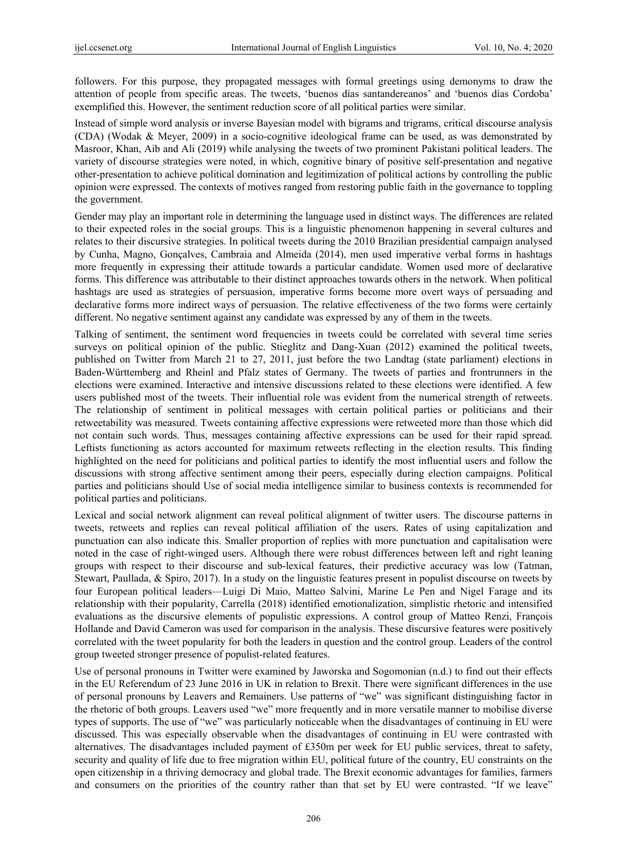followers. For this purpose, they propagated messages with formal greetings using demonyms to draw the attention of people from specific areas. The tweets, 'buenos días santandereanos' and 'buenos días Cordoba' exemplified this. However, the sentiment reduction score of all political parties were similar.

Instead of simple word analysis or inverse Bayesian model with bigrams and trigrams, critical discourse analysis (CDA) (Wodak & Meyer, 2009) in a socio-cognitive ideological frame can be used, as was demonstrated by Masroor, Khan, Aib and Ali (2019) while analysing the tweets of two prominent Pakistani political leaders. The variety of discourse strategies were noted, in which, cognitive binary of positive self-presentation and negative other-presentation to achieve political domination and legitimization of political actions by controlling the public opinion were expressed. The contexts of motives ranged from restoring public faith in the governance to toppling the government.

Gender may play an important role in determining the language used in distinct ways. The differences are related to their expected roles in the social groups. This is a linguistic phenomenon happening in several cultures and relates to their discursive strategies. In political tweets during the 2010 Brazilian presidential campaign analysed by Cunha, Magno, Gonçalves, Cambraia and Almeida (2014), men used imperative verbal forms in hashtags more frequently in expressing their attitude towards a particular candidate. Women used more of declarative forms. This difference was attributable to their distinct approaches towards others in the network. When political hashtags are used as strategies of persuasion, imperative forms become more overt ways of persuading and declarative forms more indirect ways of persuasion. The relative effectiveness of the two forms were certainly different. No negative sentiment against any candidate was expressed by any of them in the tweets.

Talking of sentiment, the sentiment word frequencies in tweets could be correlated with several time series surveys on political opinion of the public. Stieglitz and Dang-Xuan (2012) examined the political tweets, published on Twitter from March 21 to 27, 2011, just before the two Landtag (state parliament) elections in Baden-Württemberg and Rheinl and Pfalz states of Germany. The tweets of parties and frontrunners in the elections were examined. Interactive and intensive discussions related to these elections were identified. A few users published most of the tweets. Their influential role was evident from the numerical strength of retweets. The relationship of sentiment in political messages with certain political parties or politicians and their retweetability was measured. Tweets containing affective expressions were retweeted more than those which did not contain such words. Thus, messages containing affective expressions can be used for their rapid spread. Leftists functioning as actors accounted for maximum retweets reflecting in the election results. This finding highlighted on the need for politicians and political parties to identify the most influential users and follow the discussions with strong affective sentiment among their peers, especially during election campaigns. Political parties and politicians should Use of social media intelligence similar to business contexts is recommended for political parties and politicians.

Lexical and social network alignment can reveal political alignment of twitter users. The discourse patterns in tweets, retweets and replies can reveal political affiliation of the users. Rates of using capitalization and punctuation can also indicate this. Smaller proportion of replies with more punctuation and capitalisation were noted in the case of right-winged users. Although there were robust differences between left and right leaning groups with respect to their discourse and sub-lexical features, their predictive accuracy was low (Tatman, Stewart, Paullada, & Spiro, 2017). In a study on the linguistic features present in populist discourse on tweets by four European political leaders—Luigi Di Maio, Matteo Salvini, Marine Le Pen and Nigel Farage and its relationship with their popularity, Carrella (2018) identified emotionalization, simplistic rhetoric and intensified evaluations as the discursive elements of populistic expressions. A control group of Matteo Renzi, François Hollande and David Cameron was used for comparison in the analysis. These discursive features were positively correlated with the tweet popularity for both the leaders in question and the control group. Leaders of the control group tweeted stronger presence of populist-related features.

Use of personal pronouns in Twitter were examined by Jaworska and Sogomonian (n.d.) to find out their effects in the EU Referendum of 23 June 2016 in UK in relation to Brexit. There were significant differences in the use of personal pronouns by Leavers and Remainers. Use patterns of "we" was significant distinguishing factor in the rhetoric of both groups. Leavers used "we" more frequently and in more versatile manner to mobilise diverse types of supports. The use of "we" was particularly noticeable when the disadvantages of continuing in EU were discussed. This was especially observable when the disadvantages of continuing in EU were contrasted with alternatives. The disadvantages included payment of £350m per week for EU public services, threat to safety, security and quality of life due to free migration within EU, political future of the country, EU constraints on the open citizenship in a thriving democracy and global trade. The Brexit economic advantages for families, farmers and consumers on the priorities of the country rather than that set by EU were contrasted. "If we leave"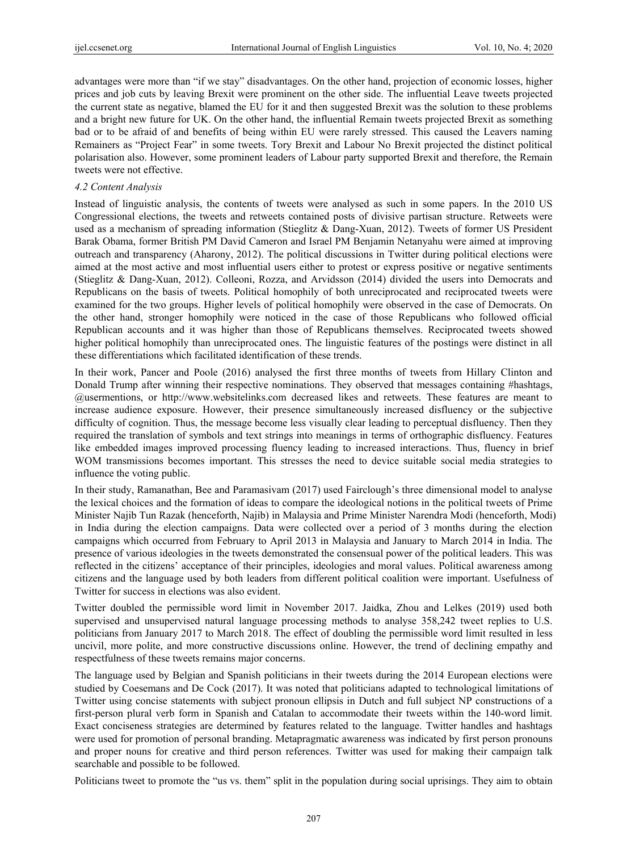advantages were more than "if we stay" disadvantages. On the other hand, projection of economic losses, higher prices and job cuts by leaving Brexit were prominent on the other side. The influential Leave tweets projected the current state as negative, blamed the EU for it and then suggested Brexit was the solution to these problems and a bright new future for UK. On the other hand, the influential Remain tweets projected Brexit as something bad or to be afraid of and benefits of being within EU were rarely stressed. This caused the Leavers naming Remainers as "Project Fear" in some tweets. Tory Brexit and Labour No Brexit projected the distinct political polarisation also. However, some prominent leaders of Labour party supported Brexit and therefore, the Remain tweets were not effective.

#### *4.2 Content Analysis*

Instead of linguistic analysis, the contents of tweets were analysed as such in some papers. In the 2010 US Congressional elections, the tweets and retweets contained posts of divisive partisan structure. Retweets were used as a mechanism of spreading information (Stieglitz & Dang-Xuan, 2012). Tweets of former US President Barak Obama, former British PM David Cameron and Israel PM Benjamin Netanyahu were aimed at improving outreach and transparency (Aharony, 2012). The political discussions in Twitter during political elections were aimed at the most active and most influential users either to protest or express positive or negative sentiments (Stieglitz & Dang-Xuan, 2012). Colleoni, Rozza, and Arvidsson (2014) divided the users into Democrats and Republicans on the basis of tweets. Political homophily of both unreciprocated and reciprocated tweets were examined for the two groups. Higher levels of political homophily were observed in the case of Democrats. On the other hand, stronger homophily were noticed in the case of those Republicans who followed official Republican accounts and it was higher than those of Republicans themselves. Reciprocated tweets showed higher political homophily than unreciprocated ones. The linguistic features of the postings were distinct in all these differentiations which facilitated identification of these trends.

In their work, Pancer and Poole (2016) analysed the first three months of tweets from Hillary Clinton and Donald Trump after winning their respective nominations. They observed that messages containing #hashtags, @usermentions, or http://www.websitelinks.com decreased likes and retweets. These features are meant to increase audience exposure. However, their presence simultaneously increased disfluency or the subjective difficulty of cognition. Thus, the message become less visually clear leading to perceptual disfluency. Then they required the translation of symbols and text strings into meanings in terms of orthographic disfluency. Features like embedded images improved processing fluency leading to increased interactions. Thus, fluency in brief WOM transmissions becomes important. This stresses the need to device suitable social media strategies to influence the voting public.

In their study, Ramanathan, Bee and Paramasivam (2017) used Fairclough's three dimensional model to analyse the lexical choices and the formation of ideas to compare the ideological notions in the political tweets of Prime Minister Najib Tun Razak (henceforth, Najib) in Malaysia and Prime Minister Narendra Modi (henceforth, Modi) in India during the election campaigns. Data were collected over a period of 3 months during the election campaigns which occurred from February to April 2013 in Malaysia and January to March 2014 in India. The presence of various ideologies in the tweets demonstrated the consensual power of the political leaders. This was reflected in the citizens' acceptance of their principles, ideologies and moral values. Political awareness among citizens and the language used by both leaders from different political coalition were important. Usefulness of Twitter for success in elections was also evident.

Twitter doubled the permissible word limit in November 2017. Jaidka, Zhou and Lelkes (2019) used both supervised and unsupervised natural language processing methods to analyse 358,242 tweet replies to U.S. politicians from January 2017 to March 2018. The effect of doubling the permissible word limit resulted in less uncivil, more polite, and more constructive discussions online. However, the trend of declining empathy and respectfulness of these tweets remains major concerns.

The language used by Belgian and Spanish politicians in their tweets during the 2014 European elections were studied by Coesemans and De Cock (2017). It was noted that politicians adapted to technological limitations of Twitter using concise statements with subject pronoun ellipsis in Dutch and full subject NP constructions of a first-person plural verb form in Spanish and Catalan to accommodate their tweets within the 140-word limit. Exact conciseness strategies are determined by features related to the language. Twitter handles and hashtags were used for promotion of personal branding. Metapragmatic awareness was indicated by first person pronouns and proper nouns for creative and third person references. Twitter was used for making their campaign talk searchable and possible to be followed.

Politicians tweet to promote the "us vs. them" split in the population during social uprisings. They aim to obtain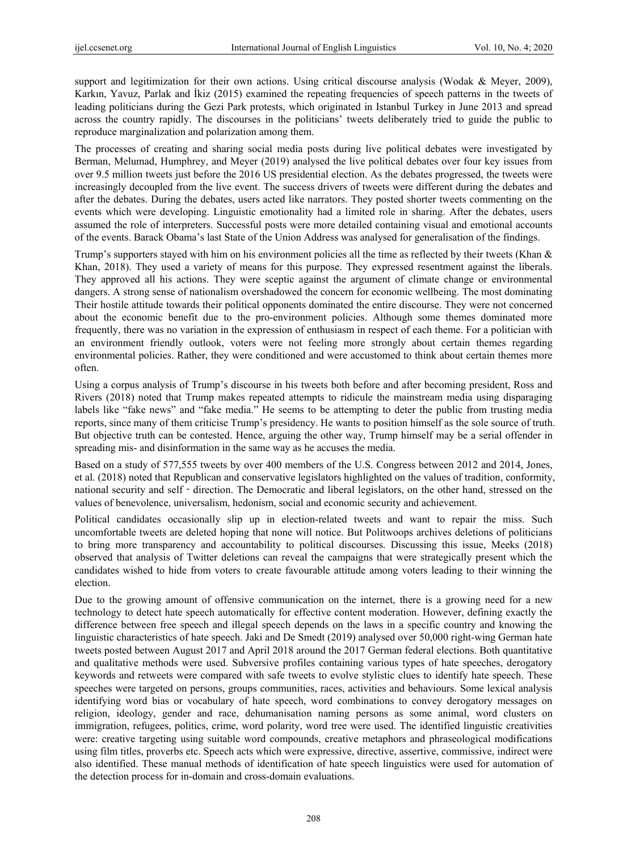support and legitimization for their own actions. Using critical discourse analysis (Wodak & Meyer, 2009), Karkın, Yavuz, Parlak and İkiz (2015) examined the repeating frequencies of speech patterns in the tweets of leading politicians during the Gezi Park protests, which originated in Istanbul Turkey in June 2013 and spread across the country rapidly. The discourses in the politicians' tweets deliberately tried to guide the public to reproduce marginalization and polarization among them.

The processes of creating and sharing social media posts during live political debates were investigated by Berman, Melumad, Humphrey, and Meyer (2019) analysed the live political debates over four key issues from over 9.5 million tweets just before the 2016 US presidential election. As the debates progressed, the tweets were increasingly decoupled from the live event. The success drivers of tweets were different during the debates and after the debates. During the debates, users acted like narrators. They posted shorter tweets commenting on the events which were developing. Linguistic emotionality had a limited role in sharing. After the debates, users assumed the role of interpreters. Successful posts were more detailed containing visual and emotional accounts of the events. Barack Obama's last State of the Union Address was analysed for generalisation of the findings.

Trump's supporters stayed with him on his environment policies all the time as reflected by their tweets (Khan & Khan, 2018). They used a variety of means for this purpose. They expressed resentment against the liberals. They approved all his actions. They were sceptic against the argument of climate change or environmental dangers. A strong sense of nationalism overshadowed the concern for economic wellbeing. The most dominating Their hostile attitude towards their political opponents dominated the entire discourse. They were not concerned about the economic benefit due to the pro-environment policies. Although some themes dominated more frequently, there was no variation in the expression of enthusiasm in respect of each theme. For a politician with an environment friendly outlook, voters were not feeling more strongly about certain themes regarding environmental policies. Rather, they were conditioned and were accustomed to think about certain themes more often.

Using a corpus analysis of Trump's discourse in his tweets both before and after becoming president, Ross and Rivers (2018) noted that Trump makes repeated attempts to ridicule the mainstream media using disparaging labels like "fake news" and "fake media." He seems to be attempting to deter the public from trusting media reports, since many of them criticise Trump's presidency. He wants to position himself as the sole source of truth. But objective truth can be contested. Hence, arguing the other way, Trump himself may be a serial offender in spreading mis- and disinformation in the same way as he accuses the media.

Based on a study of 577,555 tweets by over 400 members of the U.S. Congress between 2012 and 2014, Jones, et al. (2018) noted that Republican and conservative legislators highlighted on the values of tradition, conformity, national security and self - direction. The Democratic and liberal legislators, on the other hand, stressed on the values of benevolence, universalism, hedonism, social and economic security and achievement.

Political candidates occasionally slip up in election-related tweets and want to repair the miss. Such uncomfortable tweets are deleted hoping that none will notice. But Politwoops archives deletions of politicians to bring more transparency and accountability to political discourses. Discussing this issue, Meeks (2018) observed that analysis of Twitter deletions can reveal the campaigns that were strategically present which the candidates wished to hide from voters to create favourable attitude among voters leading to their winning the election.

Due to the growing amount of offensive communication on the internet, there is a growing need for a new technology to detect hate speech automatically for effective content moderation. However, defining exactly the difference between free speech and illegal speech depends on the laws in a specific country and knowing the linguistic characteristics of hate speech. Jaki and De Smedt (2019) analysed over 50,000 right-wing German hate tweets posted between August 2017 and April 2018 around the 2017 German federal elections. Both quantitative and qualitative methods were used. Subversive profiles containing various types of hate speeches, derogatory keywords and retweets were compared with safe tweets to evolve stylistic clues to identify hate speech. These speeches were targeted on persons, groups communities, races, activities and behaviours. Some lexical analysis identifying word bias or vocabulary of hate speech, word combinations to convey derogatory messages on religion, ideology, gender and race, dehumanisation naming persons as some animal, word clusters on immigration, refugees, politics, crime, word polarity, word tree were used. The identified linguistic creativities were: creative targeting using suitable word compounds, creative metaphors and phraseological modifications using film titles, proverbs etc. Speech acts which were expressive, directive, assertive, commissive, indirect were also identified. These manual methods of identification of hate speech linguistics were used for automation of the detection process for in-domain and cross-domain evaluations.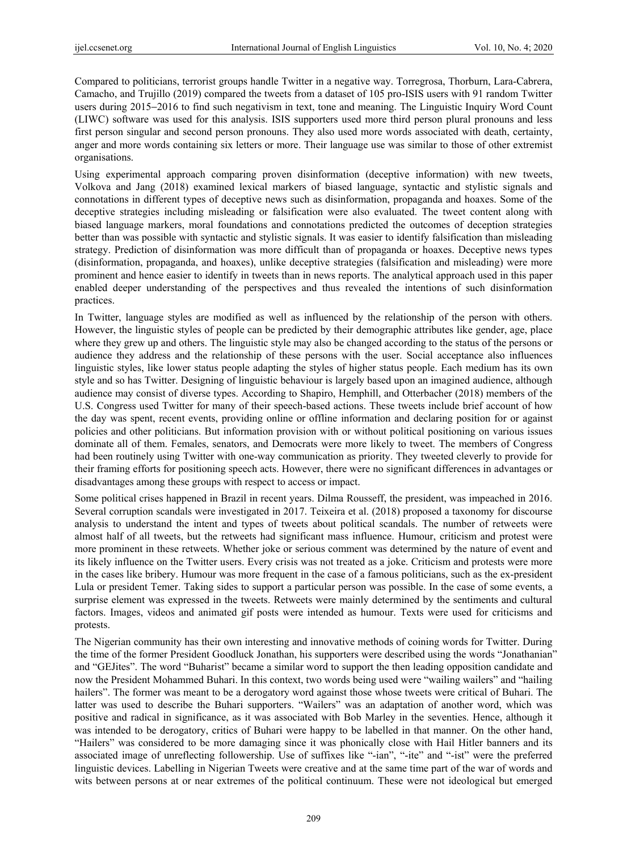Compared to politicians, terrorist groups handle Twitter in a negative way. Torregrosa, Thorburn, Lara-Cabrera, Camacho, and Trujillo (2019) compared the tweets from a dataset of 105 pro-ISIS users with 91 random Twitter users during 2015−2016 to find such negativism in text, tone and meaning. The Linguistic Inquiry Word Count (LIWC) software was used for this analysis. ISIS supporters used more third person plural pronouns and less first person singular and second person pronouns. They also used more words associated with death, certainty, anger and more words containing six letters or more. Their language use was similar to those of other extremist organisations.

Using experimental approach comparing proven disinformation (deceptive information) with new tweets, Volkova and Jang (2018) examined lexical markers of biased language, syntactic and stylistic signals and connotations in different types of deceptive news such as disinformation, propaganda and hoaxes. Some of the deceptive strategies including misleading or falsification were also evaluated. The tweet content along with biased language markers, moral foundations and connotations predicted the outcomes of deception strategies better than was possible with syntactic and stylistic signals. It was easier to identify falsification than misleading strategy. Prediction of disinformation was more difficult than of propaganda or hoaxes. Deceptive news types (disinformation, propaganda, and hoaxes), unlike deceptive strategies (falsification and misleading) were more prominent and hence easier to identify in tweets than in news reports. The analytical approach used in this paper enabled deeper understanding of the perspectives and thus revealed the intentions of such disinformation practices.

In Twitter, language styles are modified as well as influenced by the relationship of the person with others. However, the linguistic styles of people can be predicted by their demographic attributes like gender, age, place where they grew up and others. The linguistic style may also be changed according to the status of the persons or audience they address and the relationship of these persons with the user. Social acceptance also influences linguistic styles, like lower status people adapting the styles of higher status people. Each medium has its own style and so has Twitter. Designing of linguistic behaviour is largely based upon an imagined audience, although audience may consist of diverse types. According to Shapiro, Hemphill, and Otterbacher (2018) members of the U.S. Congress used Twitter for many of their speech-based actions. These tweets include brief account of how the day was spent, recent events, providing online or offline information and declaring position for or against policies and other politicians. But information provision with or without political positioning on various issues dominate all of them. Females, senators, and Democrats were more likely to tweet. The members of Congress had been routinely using Twitter with one-way communication as priority. They tweeted cleverly to provide for their framing efforts for positioning speech acts. However, there were no significant differences in advantages or disadvantages among these groups with respect to access or impact.

Some political crises happened in Brazil in recent years. Dilma Rousseff, the president, was impeached in 2016. Several corruption scandals were investigated in 2017. Teixeira et al. (2018) proposed a taxonomy for discourse analysis to understand the intent and types of tweets about political scandals. The number of retweets were almost half of all tweets, but the retweets had significant mass influence. Humour, criticism and protest were more prominent in these retweets. Whether joke or serious comment was determined by the nature of event and its likely influence on the Twitter users. Every crisis was not treated as a joke. Criticism and protests were more in the cases like bribery. Humour was more frequent in the case of a famous politicians, such as the ex-president Lula or president Temer. Taking sides to support a particular person was possible. In the case of some events, a surprise element was expressed in the tweets. Retweets were mainly determined by the sentiments and cultural factors. Images, videos and animated gif posts were intended as humour. Texts were used for criticisms and protests.

The Nigerian community has their own interesting and innovative methods of coining words for Twitter. During the time of the former President Goodluck Jonathan, his supporters were described using the words "Jonathanian" and "GEJites". The word "Buharist" became a similar word to support the then leading opposition candidate and now the President Mohammed Buhari. In this context, two words being used were "wailing wailers" and "hailing hailers". The former was meant to be a derogatory word against those whose tweets were critical of Buhari. The latter was used to describe the Buhari supporters. "Wailers" was an adaptation of another word, which was positive and radical in significance, as it was associated with Bob Marley in the seventies. Hence, although it was intended to be derogatory, critics of Buhari were happy to be labelled in that manner. On the other hand, "Hailers" was considered to be more damaging since it was phonically close with Hail Hitler banners and its associated image of unreflecting followership. Use of suffixes like "-ian", "-ite" and "-ist" were the preferred linguistic devices. Labelling in Nigerian Tweets were creative and at the same time part of the war of words and wits between persons at or near extremes of the political continuum. These were not ideological but emerged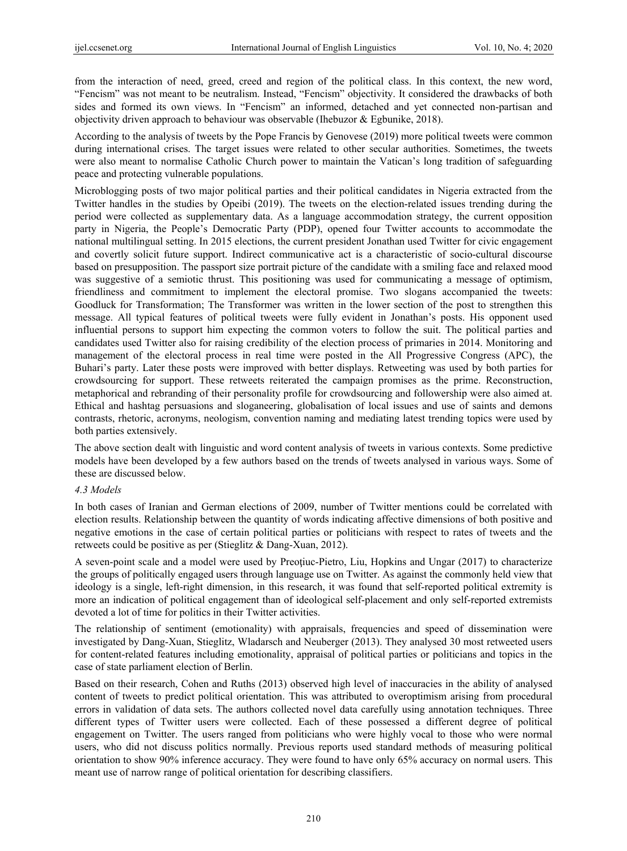from the interaction of need, greed, creed and region of the political class. In this context, the new word, "Fencism" was not meant to be neutralism. Instead, "Fencism" objectivity. It considered the drawbacks of both sides and formed its own views. In "Fencism" an informed, detached and yet connected non-partisan and objectivity driven approach to behaviour was observable (Ihebuzor & Egbunike, 2018).

According to the analysis of tweets by the Pope Francis by Genovese (2019) more political tweets were common during international crises. The target issues were related to other secular authorities. Sometimes, the tweets were also meant to normalise Catholic Church power to maintain the Vatican's long tradition of safeguarding peace and protecting vulnerable populations.

Microblogging posts of two major political parties and their political candidates in Nigeria extracted from the Twitter handles in the studies by Opeibi (2019). The tweets on the election-related issues trending during the period were collected as supplementary data. As a language accommodation strategy, the current opposition party in Nigeria, the People's Democratic Party (PDP), opened four Twitter accounts to accommodate the national multilingual setting. In 2015 elections, the current president Jonathan used Twitter for civic engagement and covertly solicit future support. Indirect communicative act is a characteristic of socio-cultural discourse based on presupposition. The passport size portrait picture of the candidate with a smiling face and relaxed mood was suggestive of a semiotic thrust. This positioning was used for communicating a message of optimism, friendliness and commitment to implement the electoral promise. Two slogans accompanied the tweets: Goodluck for Transformation; The Transformer was written in the lower section of the post to strengthen this message. All typical features of political tweets were fully evident in Jonathan's posts. His opponent used influential persons to support him expecting the common voters to follow the suit. The political parties and candidates used Twitter also for raising credibility of the election process of primaries in 2014. Monitoring and management of the electoral process in real time were posted in the All Progressive Congress (APC), the Buhari's party. Later these posts were improved with better displays. Retweeting was used by both parties for crowdsourcing for support. These retweets reiterated the campaign promises as the prime. Reconstruction, metaphorical and rebranding of their personality profile for crowdsourcing and followership were also aimed at. Ethical and hashtag persuasions and sloganeering, globalisation of local issues and use of saints and demons contrasts, rhetoric, acronyms, neologism, convention naming and mediating latest trending topics were used by both parties extensively.

The above section dealt with linguistic and word content analysis of tweets in various contexts. Some predictive models have been developed by a few authors based on the trends of tweets analysed in various ways. Some of these are discussed below.

#### *4.3 Models*

In both cases of Iranian and German elections of 2009, number of Twitter mentions could be correlated with election results. Relationship between the quantity of words indicating affective dimensions of both positive and negative emotions in the case of certain political parties or politicians with respect to rates of tweets and the retweets could be positive as per (Stieglitz & Dang-Xuan, 2012).

A seven-point scale and a model were used by Preoţiuc-Pietro, Liu, Hopkins and Ungar (2017) to characterize the groups of politically engaged users through language use on Twitter. As against the commonly held view that ideology is a single, left-right dimension, in this research, it was found that self-reported political extremity is more an indication of political engagement than of ideological self-placement and only self-reported extremists devoted a lot of time for politics in their Twitter activities.

The relationship of sentiment (emotionality) with appraisals, frequencies and speed of dissemination were investigated by Dang-Xuan, Stieglitz, Wladarsch and Neuberger (2013). They analysed 30 most retweeted users for content-related features including emotionality, appraisal of political parties or politicians and topics in the case of state parliament election of Berlin.

Based on their research, Cohen and Ruths (2013) observed high level of inaccuracies in the ability of analysed content of tweets to predict political orientation. This was attributed to overoptimism arising from procedural errors in validation of data sets. The authors collected novel data carefully using annotation techniques. Three different types of Twitter users were collected. Each of these possessed a different degree of political engagement on Twitter. The users ranged from politicians who were highly vocal to those who were normal users, who did not discuss politics normally. Previous reports used standard methods of measuring political orientation to show 90% inference accuracy. They were found to have only 65% accuracy on normal users. This meant use of narrow range of political orientation for describing classifiers.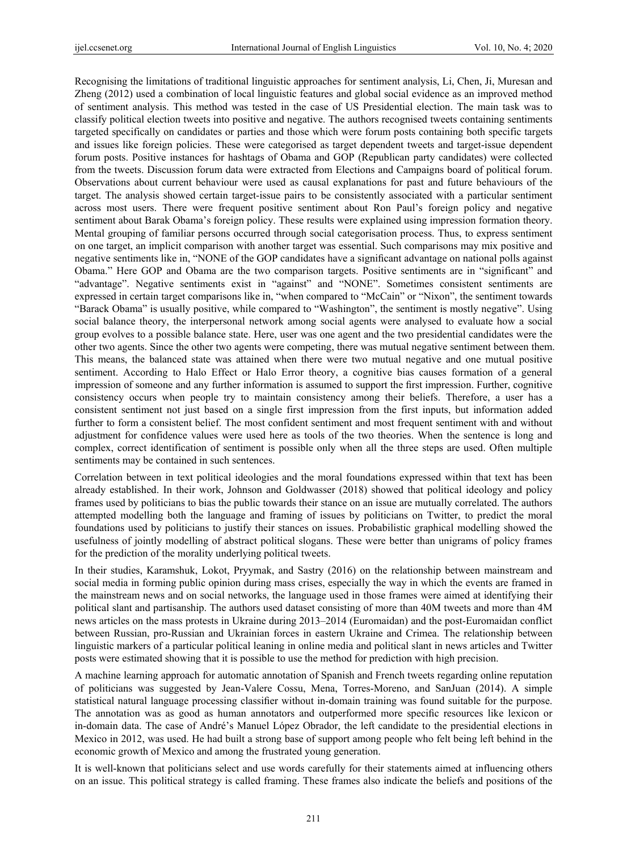Recognising the limitations of traditional linguistic approaches for sentiment analysis, Li, Chen, Ji, Muresan and Zheng (2012) used a combination of local linguistic features and global social evidence as an improved method of sentiment analysis. This method was tested in the case of US Presidential election. The main task was to classify political election tweets into positive and negative. The authors recognised tweets containing sentiments targeted specifically on candidates or parties and those which were forum posts containing both specific targets and issues like foreign policies. These were categorised as target dependent tweets and target-issue dependent forum posts. Positive instances for hashtags of Obama and GOP (Republican party candidates) were collected from the tweets. Discussion forum data were extracted from Elections and Campaigns board of political forum. Observations about current behaviour were used as causal explanations for past and future behaviours of the target. The analysis showed certain target-issue pairs to be consistently associated with a particular sentiment across most users. There were frequent positive sentiment about Ron Paul's foreign policy and negative sentiment about Barak Obama's foreign policy. These results were explained using impression formation theory. Mental grouping of familiar persons occurred through social categorisation process. Thus, to express sentiment on one target, an implicit comparison with another target was essential. Such comparisons may mix positive and negative sentiments like in, "NONE of the GOP candidates have a significant advantage on national polls against Obama." Here GOP and Obama are the two comparison targets. Positive sentiments are in "significant" and "advantage". Negative sentiments exist in "against" and "NONE". Sometimes consistent sentiments are expressed in certain target comparisons like in, "when compared to "McCain" or "Nixon", the sentiment towards "Barack Obama" is usually positive, while compared to "Washington", the sentiment is mostly negative". Using social balance theory, the interpersonal network among social agents were analysed to evaluate how a social group evolves to a possible balance state. Here, user was one agent and the two presidential candidates were the other two agents. Since the other two agents were competing, there was mutual negative sentiment between them. This means, the balanced state was attained when there were two mutual negative and one mutual positive sentiment. According to Halo Effect or Halo Error theory, a cognitive bias causes formation of a general impression of someone and any further information is assumed to support the first impression. Further, cognitive consistency occurs when people try to maintain consistency among their beliefs. Therefore, a user has a consistent sentiment not just based on a single first impression from the first inputs, but information added further to form a consistent belief. The most confident sentiment and most frequent sentiment with and without adjustment for confidence values were used here as tools of the two theories. When the sentence is long and complex, correct identification of sentiment is possible only when all the three steps are used. Often multiple sentiments may be contained in such sentences.

Correlation between in text political ideologies and the moral foundations expressed within that text has been already established. In their work, Johnson and Goldwasser (2018) showed that political ideology and policy frames used by politicians to bias the public towards their stance on an issue are mutually correlated. The authors attempted modelling both the language and framing of issues by politicians on Twitter, to predict the moral foundations used by politicians to justify their stances on issues. Probabilistic graphical modelling showed the usefulness of jointly modelling of abstract political slogans. These were better than unigrams of policy frames for the prediction of the morality underlying political tweets.

In their studies, Karamshuk, Lokot, Pryymak, and Sastry (2016) on the relationship between mainstream and social media in forming public opinion during mass crises, especially the way in which the events are framed in the mainstream news and on social networks, the language used in those frames were aimed at identifying their political slant and partisanship. The authors used dataset consisting of more than 40M tweets and more than 4M news articles on the mass protests in Ukraine during 2013–2014 (Euromaidan) and the post-Euromaidan conflict between Russian, pro-Russian and Ukrainian forces in eastern Ukraine and Crimea. The relationship between linguistic markers of a particular political leaning in online media and political slant in news articles and Twitter posts were estimated showing that it is possible to use the method for prediction with high precision.

A machine learning approach for automatic annotation of Spanish and French tweets regarding online reputation of politicians was suggested by Jean-Valere Cossu, Mena, Torres-Moreno, and SanJuan (2014). A simple statistical natural language processing classifier without in-domain training was found suitable for the purpose. The annotation was as good as human annotators and outperformed more specific resources like lexicon or in-domain data. The case of André's Manuel López Obrador, the left candidate to the presidential elections in Mexico in 2012, was used. He had built a strong base of support among people who felt being left behind in the economic growth of Mexico and among the frustrated young generation.

It is well-known that politicians select and use words carefully for their statements aimed at influencing others on an issue. This political strategy is called framing. These frames also indicate the beliefs and positions of the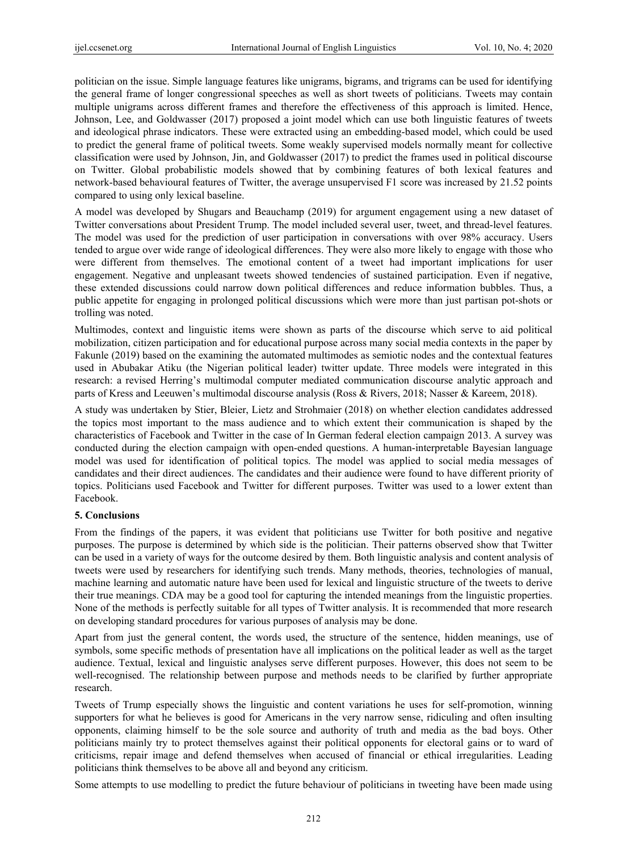politician on the issue. Simple language features like unigrams, bigrams, and trigrams can be used for identifying the general frame of longer congressional speeches as well as short tweets of politicians. Tweets may contain multiple unigrams across different frames and therefore the effectiveness of this approach is limited. Hence, Johnson, Lee, and Goldwasser (2017) proposed a joint model which can use both linguistic features of tweets and ideological phrase indicators. These were extracted using an embedding-based model, which could be used to predict the general frame of political tweets. Some weakly supervised models normally meant for collective classification were used by Johnson, Jin, and Goldwasser (2017) to predict the frames used in political discourse on Twitter. Global probabilistic models showed that by combining features of both lexical features and network-based behavioural features of Twitter, the average unsupervised F1 score was increased by 21.52 points compared to using only lexical baseline.

A model was developed by Shugars and Beauchamp (2019) for argument engagement using a new dataset of Twitter conversations about President Trump. The model included several user, tweet, and thread-level features. The model was used for the prediction of user participation in conversations with over 98% accuracy. Users tended to argue over wide range of ideological differences. They were also more likely to engage with those who were different from themselves. The emotional content of a tweet had important implications for user engagement. Negative and unpleasant tweets showed tendencies of sustained participation. Even if negative, these extended discussions could narrow down political differences and reduce information bubbles. Thus, a public appetite for engaging in prolonged political discussions which were more than just partisan pot-shots or trolling was noted.

Multimodes, context and linguistic items were shown as parts of the discourse which serve to aid political mobilization, citizen participation and for educational purpose across many social media contexts in the paper by Fakunle (2019) based on the examining the automated multimodes as semiotic nodes and the contextual features used in Abubakar Atiku (the Nigerian political leader) twitter update. Three models were integrated in this research: a revised Herring's multimodal computer mediated communication discourse analytic approach and parts of Kress and Leeuwen's multimodal discourse analysis (Ross & Rivers, 2018; Nasser & Kareem, 2018).

A study was undertaken by Stier, Bleier, Lietz and Strohmaier (2018) on whether election candidates addressed the topics most important to the mass audience and to which extent their communication is shaped by the characteristics of Facebook and Twitter in the case of In German federal election campaign 2013. A survey was conducted during the election campaign with open-ended questions. A human-interpretable Bayesian language model was used for identification of political topics. The model was applied to social media messages of candidates and their direct audiences. The candidates and their audience were found to have different priority of topics. Politicians used Facebook and Twitter for different purposes. Twitter was used to a lower extent than Facebook.

### **5. Conclusions**

From the findings of the papers, it was evident that politicians use Twitter for both positive and negative purposes. The purpose is determined by which side is the politician. Their patterns observed show that Twitter can be used in a variety of ways for the outcome desired by them. Both linguistic analysis and content analysis of tweets were used by researchers for identifying such trends. Many methods, theories, technologies of manual, machine learning and automatic nature have been used for lexical and linguistic structure of the tweets to derive their true meanings. CDA may be a good tool for capturing the intended meanings from the linguistic properties. None of the methods is perfectly suitable for all types of Twitter analysis. It is recommended that more research on developing standard procedures for various purposes of analysis may be done.

Apart from just the general content, the words used, the structure of the sentence, hidden meanings, use of symbols, some specific methods of presentation have all implications on the political leader as well as the target audience. Textual, lexical and linguistic analyses serve different purposes. However, this does not seem to be well-recognised. The relationship between purpose and methods needs to be clarified by further appropriate research.

Tweets of Trump especially shows the linguistic and content variations he uses for self-promotion, winning supporters for what he believes is good for Americans in the very narrow sense, ridiculing and often insulting opponents, claiming himself to be the sole source and authority of truth and media as the bad boys. Other politicians mainly try to protect themselves against their political opponents for electoral gains or to ward of criticisms, repair image and defend themselves when accused of financial or ethical irregularities. Leading politicians think themselves to be above all and beyond any criticism.

Some attempts to use modelling to predict the future behaviour of politicians in tweeting have been made using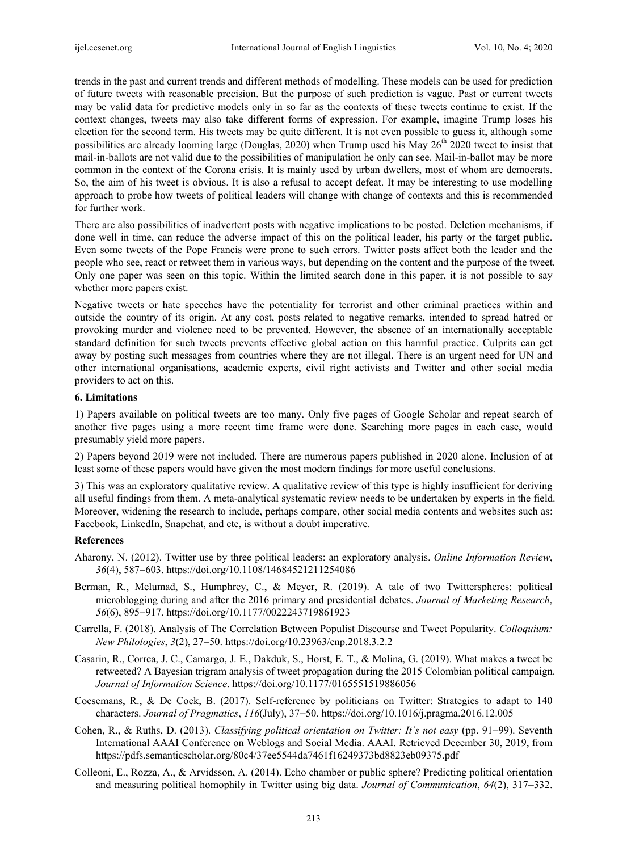trends in the past and current trends and different methods of modelling. These models can be used for prediction of future tweets with reasonable precision. But the purpose of such prediction is vague. Past or current tweets may be valid data for predictive models only in so far as the contexts of these tweets continue to exist. If the context changes, tweets may also take different forms of expression. For example, imagine Trump loses his election for the second term. His tweets may be quite different. It is not even possible to guess it, although some possibilities are already looming large (Douglas, 2020) when Trump used his May 26<sup>th</sup> 2020 tweet to insist that mail-in-ballots are not valid due to the possibilities of manipulation he only can see. Mail-in-ballot may be more common in the context of the Corona crisis. It is mainly used by urban dwellers, most of whom are democrats. So, the aim of his tweet is obvious. It is also a refusal to accept defeat. It may be interesting to use modelling approach to probe how tweets of political leaders will change with change of contexts and this is recommended for further work.

There are also possibilities of inadvertent posts with negative implications to be posted. Deletion mechanisms, if done well in time, can reduce the adverse impact of this on the political leader, his party or the target public. Even some tweets of the Pope Francis were prone to such errors. Twitter posts affect both the leader and the people who see, react or retweet them in various ways, but depending on the content and the purpose of the tweet. Only one paper was seen on this topic. Within the limited search done in this paper, it is not possible to say whether more papers exist.

Negative tweets or hate speeches have the potentiality for terrorist and other criminal practices within and outside the country of its origin. At any cost, posts related to negative remarks, intended to spread hatred or provoking murder and violence need to be prevented. However, the absence of an internationally acceptable standard definition for such tweets prevents effective global action on this harmful practice. Culprits can get away by posting such messages from countries where they are not illegal. There is an urgent need for UN and other international organisations, academic experts, civil right activists and Twitter and other social media providers to act on this.

#### **6. Limitations**

1) Papers available on political tweets are too many. Only five pages of Google Scholar and repeat search of another five pages using a more recent time frame were done. Searching more pages in each case, would presumably yield more papers.

2) Papers beyond 2019 were not included. There are numerous papers published in 2020 alone. Inclusion of at least some of these papers would have given the most modern findings for more useful conclusions.

3) This was an exploratory qualitative review. A qualitative review of this type is highly insufficient for deriving all useful findings from them. A meta-analytical systematic review needs to be undertaken by experts in the field. Moreover, widening the research to include, perhaps compare, other social media contents and websites such as: Facebook, LinkedIn, Snapchat, and etc, is without a doubt imperative.

#### **References**

- Aharony, N. (2012). Twitter use by three political leaders: an exploratory analysis. *Online Information Review*, *36*(4), 587−603. https://doi.org/10.1108/14684521211254086
- Berman, R., Melumad, S., Humphrey, C., & Meyer, R. (2019). A tale of two Twitterspheres: political microblogging during and after the 2016 primary and presidential debates. *Journal of Marketing Research*, *56*(6), 895−917. https://doi.org/10.1177/0022243719861923
- Carrella, F. (2018). Analysis of The Correlation Between Populist Discourse and Tweet Popularity. *Colloquium: New Philologies*, *3*(2), 27−50. https://doi.org/10.23963/cnp.2018.3.2.2
- Casarin, R., Correa, J. C., Camargo, J. E., Dakduk, S., Horst, E. T., & Molina, G. (2019). What makes a tweet be retweeted? A Bayesian trigram analysis of tweet propagation during the 2015 Colombian political campaign. *Journal of Information Science*. https://doi.org/10.1177/0165551519886056
- Coesemans, R., & De Cock, B. (2017). Self-reference by politicians on Twitter: Strategies to adapt to 140 characters. *Journal of Pragmatics*, *116*(July), 37−50. https://doi.org/10.1016/j.pragma.2016.12.005
- Cohen, R., & Ruths, D. (2013). *Classifying political orientation on Twitter: It's not easy* (pp. 91−99). Seventh International AAAI Conference on Weblogs and Social Media. AAAI. Retrieved December 30, 2019, from https://pdfs.semanticscholar.org/80c4/37ee5544da7461f16249373bd8823eb09375.pdf
- Colleoni, E., Rozza, A., & Arvidsson, A. (2014). Echo chamber or public sphere? Predicting political orientation and measuring political homophily in Twitter using big data. *Journal of Communication*, *64*(2), 317−332.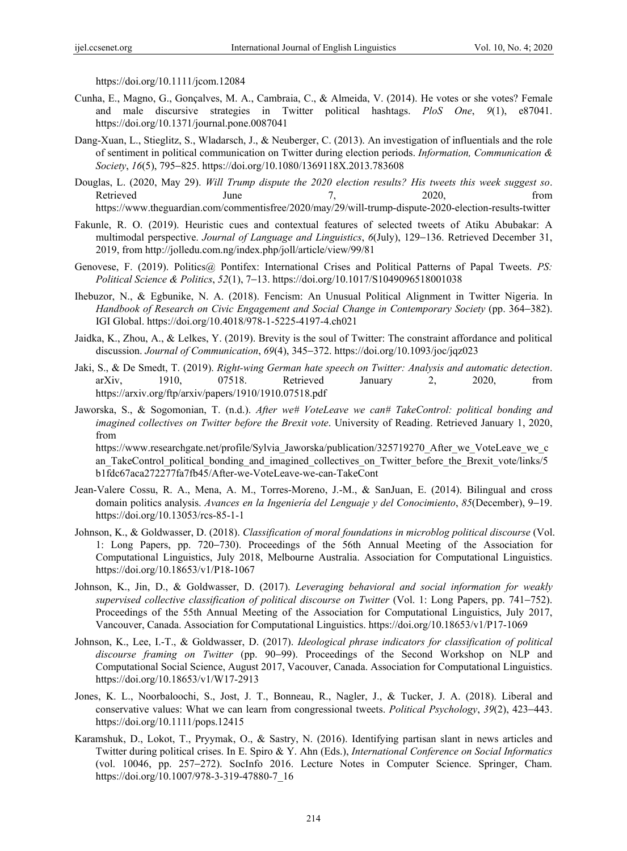https://doi.org/10.1111/jcom.12084

- Cunha, E., Magno, G., Gonçalves, M. A., Cambraia, C., & Almeida, V. (2014). He votes or she votes? Female and male discursive strategies in Twitter political hashtags. *PloS One*, *9*(1), e87041. https://doi.org/10.1371/journal.pone.0087041
- Dang-Xuan, L., Stieglitz, S., Wladarsch, J., & Neuberger, C. (2013). An investigation of influentials and the role of sentiment in political communication on Twitter during election periods. *Information, Communication & Society*, *16*(5), 795−825. https://doi.org/10.1080/1369118X.2013.783608
- Douglas, L. (2020, May 29). *Will Trump dispute the 2020 election results? His tweets this week suggest so*. Retrieved June 7, 2020, from https://www.theguardian.com/commentisfree/2020/may/29/will-trump-dispute-2020-election-results-twitter
- Fakunle, R. O. (2019). Heuristic cues and contextual features of selected tweets of Atiku Abubakar: A multimodal perspective. *Journal of Language and Linguistics*, *6*(July), 129−136. Retrieved December 31, 2019, from http://jolledu.com.ng/index.php/joll/article/view/99/81
- Genovese, F. (2019). Politics@ Pontifex: International Crises and Political Patterns of Papal Tweets. PS: *Political Science & Politics*, *52*(1), 7−13. https://doi.org/10.1017/S1049096518001038
- Ihebuzor, N., & Egbunike, N. A. (2018). Fencism: An Unusual Political Alignment in Twitter Nigeria. In *Handbook of Research on Civic Engagement and Social Change in Contemporary Society* (pp. 364−382). IGI Global. https://doi.org/10.4018/978-1-5225-4197-4.ch021
- Jaidka, K., Zhou, A., & Lelkes, Y. (2019). Brevity is the soul of Twitter: The constraint affordance and political discussion. *Journal of Communication*, *69*(4), 345−372. https://doi.org/10.1093/joc/jqz023
- Jaki, S., & De Smedt, T. (2019). *Right-wing German hate speech on Twitter: Analysis and automatic detection*. arXiv, 1910, 07518. Retrieved January 2, 2020, from https://arxiv.org/ftp/arxiv/papers/1910/1910.07518.pdf
- Jaworska, S., & Sogomonian, T. (n.d.). *After we# VoteLeave we can# TakeControl: political bonding and imagined collectives on Twitter before the Brexit vote*. University of Reading. Retrieved January 1, 2020, from https://www.researchgate.net/profile/Sylvia\_Jaworska/publication/325719270\_After\_we\_VoteLeave\_we\_c

an\_TakeControl\_political\_bonding\_and\_imagined\_collectives\_on\_Twitter\_before\_the\_Brexit\_vote/links/5 b1fdc67aca272277fa7fb45/After-we-VoteLeave-we-can-TakeCont

- Jean-Valere Cossu, R. A., Mena, A. M., Torres-Moreno, J.-M., & SanJuan, E. (2014). Bilingual and cross domain politics analysis. *Avances en la Ingeniería del Lenguaje y del Conocimiento*, *85*(December), 9−19. https://doi.org/10.13053/rcs-85-1-1
- Johnson, K., & Goldwasser, D. (2018). *Classification of moral foundations in microblog political discourse* (Vol. 1: Long Papers, pp. 720−730). Proceedings of the 56th Annual Meeting of the Association for Computational Linguistics, July 2018, Melbourne Australia. Association for Computational Linguistics. https://doi.org/10.18653/v1/P18-1067
- Johnson, K., Jin, D., & Goldwasser, D. (2017). *Leveraging behavioral and social information for weakly supervised collective classification of political discourse on Twitter* (Vol. 1: Long Papers, pp. 741−752). Proceedings of the 55th Annual Meeting of the Association for Computational Linguistics, July 2017, Vancouver, Canada. Association for Computational Linguistics. https://doi.org/10.18653/v1/P17-1069
- Johnson, K., Lee, I.-T., & Goldwasser, D. (2017). *Ideological phrase indicators for classification of political discourse framing on Twitter* (pp. 90−99). Proceedings of the Second Workshop on NLP and Computational Social Science, August 2017, Vacouver, Canada. Association for Computational Linguistics. https://doi.org/10.18653/v1/W17-2913
- Jones, K. L., Noorbaloochi, S., Jost, J. T., Bonneau, R., Nagler, J., & Tucker, J. A. (2018). Liberal and conservative values: What we can learn from congressional tweets. *Political Psychology*, *39*(2), 423−443. https://doi.org/10.1111/pops.12415
- Karamshuk, D., Lokot, T., Pryymak, O., & Sastry, N. (2016). Identifying partisan slant in news articles and Twitter during political crises. In E. Spiro & Y. Ahn (Eds.), *International Conference on Social Informatics* (vol. 10046, pp. 257−272). SocInfo 2016. Lecture Notes in Computer Science. Springer, Cham. https://doi.org/10.1007/978-3-319-47880-7\_16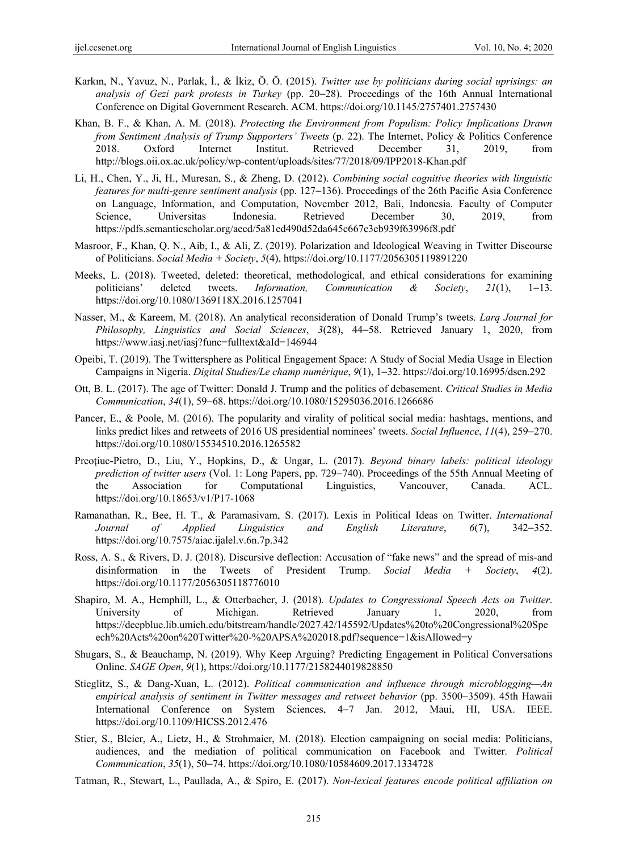- Karkın, N., Yavuz, N., Parlak, İ., & İkiz, Ö. Ö. (2015). *Twitter use by politicians during social uprisings: an analysis of Gezi park protests in Turkey* (pp. 20−28). Proceedings of the 16th Annual International Conference on Digital Government Research. ACM. https://doi.org/10.1145/2757401.2757430
- Khan, B. F., & Khan, A. M. (2018). *Protecting the Environment from Populism: Policy Implications Drawn from Sentiment Analysis of Trump Supporters' Tweets* (p. 22). The Internet, Policy & Politics Conference 2018. Oxford Internet Institut. Retrieved December 31, 2019, from http://blogs.oii.ox.ac.uk/policy/wp-content/uploads/sites/77/2018/09/IPP2018-Khan.pdf
- Li, H., Chen, Y., Ji, H., Muresan, S., & Zheng, D. (2012). *Combining social cognitive theories with linguistic features for multi-genre sentiment analysis* (pp. 127−136). Proceedings of the 26th Pacific Asia Conference on Language, Information, and Computation, November 2012, Bali, Indonesia. Faculty of Computer Science, Universitas Indonesia. Retrieved December 30, 2019, from https://pdfs.semanticscholar.org/aecd/5a81ed490d52da645c667c3eb939f63996f8.pdf
- Masroor, F., Khan, Q. N., Aib, I., & Ali, Z. (2019). Polarization and Ideological Weaving in Twitter Discourse of Politicians. *Social Media + Society*, *5*(4), https://doi.org/10.1177/2056305119891220
- Meeks, L. (2018). Tweeted, deleted: theoretical, methodological, and ethical considerations for examining politicians' deleted tweets. *Information, Communication & Society*, *21*(1), 1−13. https://doi.org/10.1080/1369118X.2016.1257041
- Nasser, M., & Kareem, M. (2018). An analytical reconsideration of Donald Trump's tweets. *Larq Journal for Philosophy, Linguistics and Social Sciences*, *3*(28), 44−58. Retrieved January 1, 2020, from https://www.iasj.net/iasj?func=fulltext&aId=146944
- Opeibi, T. (2019). The Twittersphere as Political Engagement Space: A Study of Social Media Usage in Election Campaigns in Nigeria. *Digital Studies/Le champ numérique*, *9*(1), 1−32. https://doi.org/10.16995/dscn.292
- Ott, B. L. (2017). The age of Twitter: Donald J. Trump and the politics of debasement. *Critical Studies in Media Communication*, *34*(1), 59−68. https://doi.org/10.1080/15295036.2016.1266686
- Pancer, E., & Poole, M. (2016). The popularity and virality of political social media: hashtags, mentions, and links predict likes and retweets of 2016 US presidential nominees' tweets. *Social Influence*, *11*(4), 259−270. https://doi.org/10.1080/15534510.2016.1265582
- Preoţiuc-Pietro, D., Liu, Y., Hopkins, D., & Ungar, L. (2017). *Beyond binary labels: political ideology prediction of twitter users* (Vol. 1: Long Papers, pp. 729−740). Proceedings of the 55th Annual Meeting of the Association for Computational Linguistics, Vancouver, Canada. ACL. https://doi.org/10.18653/v1/P17-1068
- Ramanathan, R., Bee, H. T., & Paramasivam, S. (2017). Lexis in Political Ideas on Twitter. *International Journal of Applied Linguistics and English Literature*, *6*(7), 342−352. https://doi.org/10.7575/aiac.ijalel.v.6n.7p.342
- Ross, A. S., & Rivers, D. J. (2018). Discursive deflection: Accusation of "fake news" and the spread of mis-and disinformation in the Tweets of President Trump. *Social Media + Society*, *4*(2). https://doi.org/10.1177/2056305118776010
- Shapiro, M. A., Hemphill, L., & Otterbacher, J. (2018). *Updates to Congressional Speech Acts on Twitter*. University of Michigan. Retrieved January 1, 2020, from https://deepblue.lib.umich.edu/bitstream/handle/2027.42/145592/Updates%20to%20Congressional%20Spe ech%20Acts%20on%20Twitter%20-%20APSA%202018.pdf?sequence=1&isAllowed=y
- Shugars, S., & Beauchamp, N. (2019). Why Keep Arguing? Predicting Engagement in Political Conversations Online. *SAGE Open*, *9*(1), https://doi.org/10.1177/2158244019828850
- Stieglitz, S., & Dang-Xuan, L. (2012). *Political communication and influence through microblogging—An empirical analysis of sentiment in Twitter messages and retweet behavior* (pp. 3500−3509). 45th Hawaii International Conference on System Sciences, 4−7 Jan. 2012, Maui, HI, USA. IEEE. https://doi.org/10.1109/HICSS.2012.476
- Stier, S., Bleier, A., Lietz, H., & Strohmaier, M. (2018). Election campaigning on social media: Politicians, audiences, and the mediation of political communication on Facebook and Twitter. *Political Communication*, *35*(1), 50−74. https://doi.org/10.1080/10584609.2017.1334728
- Tatman, R., Stewart, L., Paullada, A., & Spiro, E. (2017). *Non-lexical features encode political affiliation on*